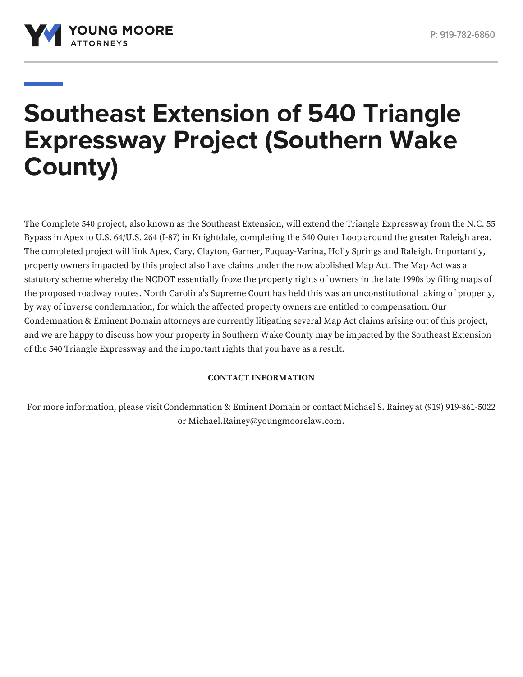

# **Southeast Extension of 540 Triangle Expressway Project (Southern Wake County)**

The Complete 540 project, also known as the Southeast Extension, will extend the Triangle Expressway from the N.C. 55 Bypass in Apex to U.S. 64/U.S. 264 (I-87) in Knightdale, completing the 540 Outer Loop around the greater Raleigh area. The completed project will link Apex, Cary, Clayton, Garner, Fuquay-Varina, Holly Springs and Raleigh. Importantly, property owners impacted by this project also have claims under the now abolished Map Act. The Map Act was a statutory scheme whereby the NCDOT essentially froze the property rights of owners in the late 1990s by filing maps of the proposed roadway routes. North Carolina's Supreme Court has held this was an unconstitutional taking of property, by way of inverse condemnation, for which the affected property owners are entitled to compensation. Our Condemnation & Eminent Domain attorneys are currently litigating several Map Act claims arising out of this project, and we are happy to discuss how your property in Southern Wake County may be impacted by the Southeast Extension of the 540 Triangle Expressway and the important rights that you have as a result.

# **CONTACT INFORMATION**

For more information, please visit[Condemnation](https://www.youngmoorelaw.com/services/condemnation-eminent-domain/) & Eminent Domain or contact [Michael](https://www.youngmoorelaw.com/people/attorneys/michael-rainey/) S. Rainey at (919) 919-861-5022 or [Michael.Rainey@youngmoorelaw.com](mailto:Michael.Rainey@youngmoorelaw.com).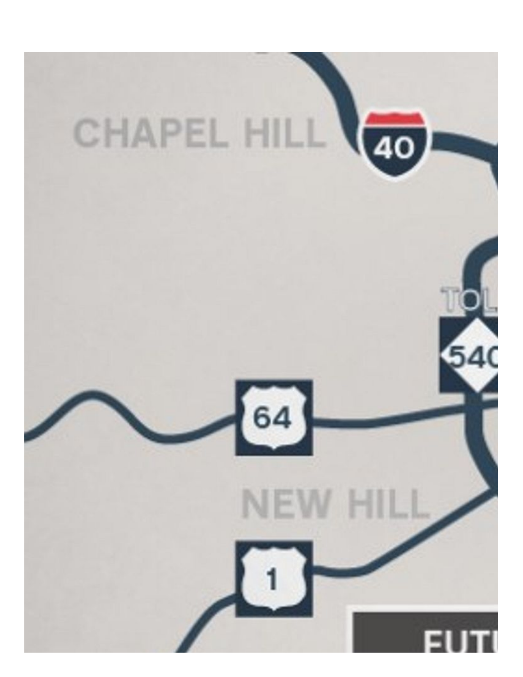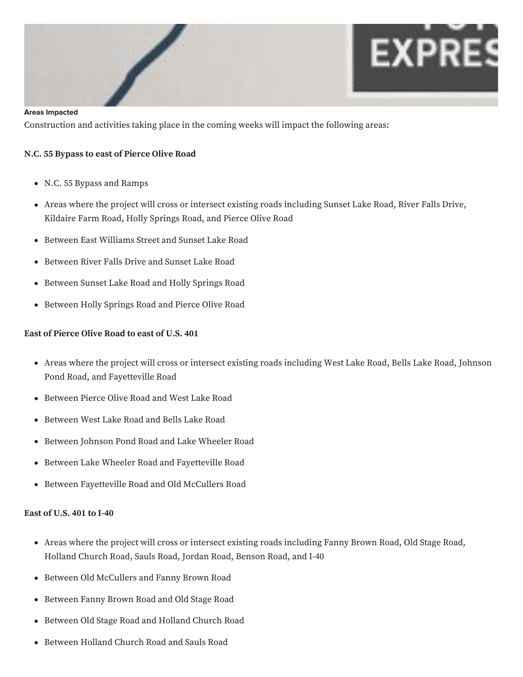

#### **Areas Impacted**

Construction and activities taking place in the coming weeks will impact the following areas:

## **N.C. 55 Bypass to east of Pierce Olive Road**

- N.C. 55 Bypass and Ramps
- Areas where the project will cross or intersect existing roads including Sunset Lake Road, River Falls Drive, Kildaire Farm Road, Holly Springs Road, and Pierce Olive Road
- Between East Williams Street and Sunset Lake Road
- Between River Falls Drive and Sunset Lake Road
- Between Sunset Lake Road and Holly Springs Road
- Between Holly Springs Road and Pierce Olive Road

### **East of Pierce Olive Road to east of U.S. 401**

- Areas where the project will cross or intersect existing roads including West Lake Road, Bells Lake Road, Johnson Pond Road, and Fayetteville Road
- Between Pierce Olive Road and West Lake Road
- Between West Lake Road and Bells Lake Road
- Between Johnson Pond Road and Lake Wheeler Road
- Between Lake Wheeler Road and Fayetteville Road
- Between Fayetteville Road and Old McCullers Road

## **East of U.S. 401 to I-40**

- Areas where the project will cross or intersect existing roads including Fanny Brown Road, Old Stage Road, Holland Church Road, Sauls Road, Jordan Road, Benson Road, and I-40
- Between Old McCullers and Fanny Brown Road
- Between Fanny Brown Road and Old Stage Road
- Between Old Stage Road and Holland Church Road
- Between Holland Church Road and Sauls Road